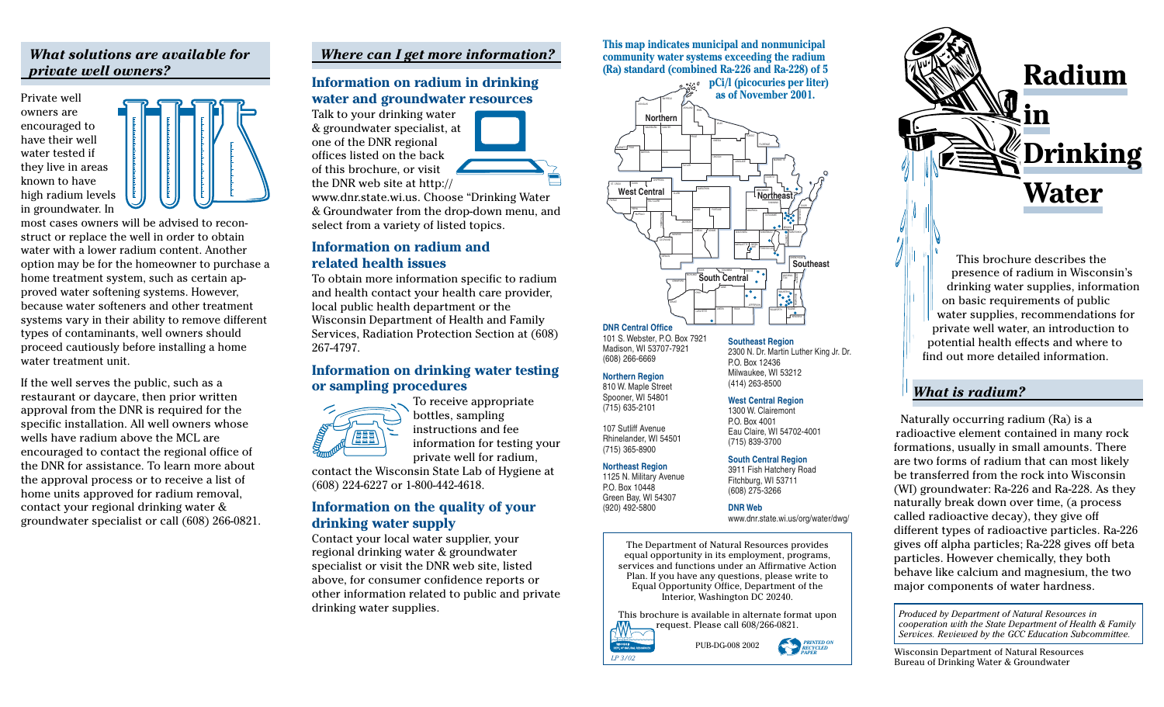## *What solutions are available for private well owners?*

Private well owners are encouraged to have their well water tested if they live in areas known to have high radium levels in groundwater. In



most cases owners will be advised to reconstruct or replace the well in order to obtain water with a lower radium content. Another option may be for the homeowner to purchase a home treatment system, such as certain approved water softening systems. However, because water softeners and other treatment systems vary in their ability to remove different types of contaminants, well owners should proceed cautiously before installing a home water treatment unit.

If the well serves the public, such as a restaurant or daycare, then prior written approval from the DNR is required for the specific installation. All well owners whose wells have radium above the MCL are encouraged to contact the regional office of the DNR for assistance. To learn more about the approval process or to receive a list of home units approved for radium removal, contact your regional drinking water & groundwater specialist or call (608) 266-0821.

# *Where can I get more information?*

#### **Information on radium in drinking water and groundwater resources** Talk to your drinking water

& groundwater specialist, at one of the DNR regional offices listed on the back of this brochure, or visit the DNR web site at http:// www.dnr.state.wi.us. Choose "Drinking Water

& Groundwater from the drop-down menu, and select from a variety of listed topics.

#### **Information on radium and related health issues**

To obtain more information specific to radium and health contact your health care provider, local public health department or the Wisconsin Department of Health and Family Services, Radiation Protection Section at (608) 267-4797.

#### **Information on drinking water testing or sampling procedures** To receive appropriate



bottles, sampling instructions and fee information for testing your private well for radium,

contact the Wisconsin State Lab of Hygiene at (608) 224-6227 or 1-800-442-4618.

### **Information on the quality of your drinking water supply**

Contact your local water supplier, your regional drinking water & groundwater specialist or visit the DNR web site, listed above, for consumer confidence reports or other information related to public and private drinking water supplies.

**This map indicates municipal and nonmunicipal community water systems exceeding the radium (Ra) standard (combined Ra-226 and Ra-228) of 5** 

> **pCi/l (picocuries per liter)**   $\frac{1}{2}$ **as of November 2001.**



#### **DNR Central Office** 101 S. Webster, P.O. Box 7921

Madison, WI 53707-7921 (608) 266-6669

#### **Northern Region**

810 W. Maple Street Spooner, WI 54801 (715) 635-2101

107 Sutliff Avenue Rhinelander, WI 54501 (715) 365-8900

#### **Northeast Region**

1125 N. Military Avenue P.O. Box 10448 Green Bay, WI 54307 (920) 492-5800

**DNR Web** www.dnr.state.wi.us/org/water/dwg/

**Southeast Region**

P.O. Box 12436 Milwaukee, WI 53212 (414) 263-8500 **West Central Region** 1300 W. Clairemont P.O. Box 4001

2300 N. Dr. Martin Luther King Jr. Dr.

Eau Claire, WI 54702-4001 (715) 839-3700 **South Central Region** 3911 Fish Hatchery Road Fitchburg, WI 53711 (608) 275-3266

The Department of Natural Resources provides equal opportunity in its employment, programs, services and functions under an Affirmative Action Plan. If you have any questions, please write to Equal Opportunity Office, Department of the Interior, Washington DC 20240.

This brochure is available in alternate format upon request. Please call 608/266-0821.



PUB-DG-008 2002





This brochure describes the presence of radium in Wisconsin's drinking water supplies, information on basic requirements of public water supplies, recommendations for private well water, an introduction to potential health effects and where to find out more detailed information.

#### *What is radium?*

Naturally occurring radium (Ra) is a radioactive element contained in many rock formations, usually in small amounts. There are two forms of radium that can most likely be transferred from the rock into Wisconsin (WI) groundwater: Ra-226 and Ra-228. As they naturally break down over time, (a process called radioactive decay), they give off different types of radioactive particles. Ra-226 gives off alpha particles; Ra-228 gives off beta particles. However chemically, they both behave like calcium and magnesium, the two major components of water hardness.

*Produced by Department of Natural Resources in cooperation with the State Department of Health & Family Services. Reviewed by the GCC Education Subcommittee.*

Wisconsin Department of Natural Resources Bureau of Drinking Water & Groundwater